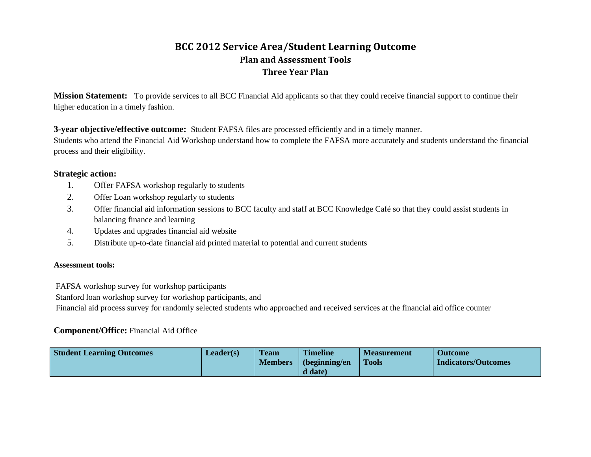# **BCC 2012 Service Area/Student Learning Outcome Plan and Assessment Tools Three Year Plan**

**Mission Statement:** To provide services to all BCC Financial Aid applicants so that they could receive financial support to continue their higher education in a timely fashion.

**3-year objective/effective outcome:** Student FAFSA files are processed efficiently and in a timely manner.

Students who attend the Financial Aid Workshop understand how to complete the FAFSA more accurately and students understand the financial process and their eligibility.

### **Strategic action:**

- 1. Offer FAFSA workshop regularly to students
- 2. Offer Loan workshop regularly to students
- 3. Offer financial aid information sessions to BCC faculty and staff at BCC Knowledge Café so that they could assist students in balancing finance and learning
- 4. Updates and upgrades financial aid website
- 5. Distribute up-to-date financial aid printed material to potential and current students

### **Assessment tools:**

FAFSA workshop survey for workshop participants

Stanford loan workshop survey for workshop participants, and

Financial aid process survey for randomly selected students who approached and received services at the financial aid office counter

# **Component/Office:** Financial Aid Office

| <b>Student Learning Outcomes</b> | Leader(s) | <b>Team</b><br><b>Members</b> | <b>Timeline</b><br>(beginning/en | <b>Measurement</b><br><b>Tools</b> | <b>Outcome</b><br><b>Indicators/Outcomes</b> |
|----------------------------------|-----------|-------------------------------|----------------------------------|------------------------------------|----------------------------------------------|
|                                  |           |                               | d date)                          |                                    |                                              |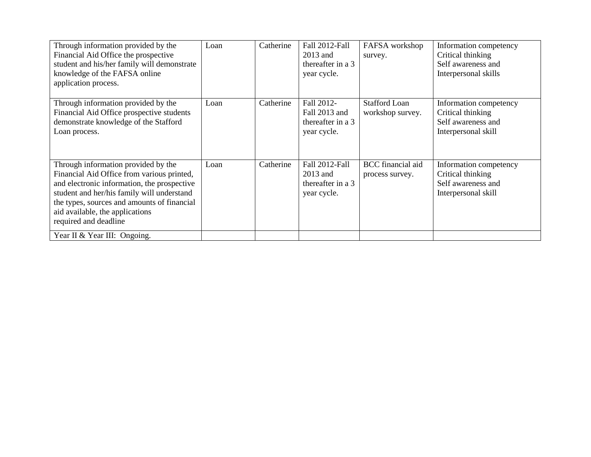| Through information provided by the<br>Financial Aid Office the prospective<br>student and his/her family will demonstrate<br>knowledge of the FAFSA online<br>application process.                                                                                                       | Loan | Catherine | Fall 2012-Fall<br>2013 and<br>thereafter in a 3<br>year cycle.  | FAFSA workshop<br>survey.                   | Information competency<br>Critical thinking<br>Self awareness and<br>Interpersonal skills |
|-------------------------------------------------------------------------------------------------------------------------------------------------------------------------------------------------------------------------------------------------------------------------------------------|------|-----------|-----------------------------------------------------------------|---------------------------------------------|-------------------------------------------------------------------------------------------|
| Through information provided by the<br>Financial Aid Office prospective students<br>demonstrate knowledge of the Stafford<br>Loan process.                                                                                                                                                | Loan | Catherine | Fall 2012-<br>Fall 2013 and<br>thereafter in a 3<br>year cycle. | <b>Stafford Loan</b><br>workshop survey.    | Information competency<br>Critical thinking<br>Self awareness and<br>Interpersonal skill  |
| Through information provided by the<br>Financial Aid Office from various printed,<br>and electronic information, the prospective<br>student and her/his family will understand<br>the types, sources and amounts of financial<br>aid available, the applications<br>required and deadline | Loan | Catherine | Fall 2012-Fall<br>2013 and<br>thereafter in a 3<br>year cycle.  | <b>BCC</b> financial aid<br>process survey. | Information competency<br>Critical thinking<br>Self awareness and<br>Interpersonal skill  |
| Year II & Year III: Ongoing.                                                                                                                                                                                                                                                              |      |           |                                                                 |                                             |                                                                                           |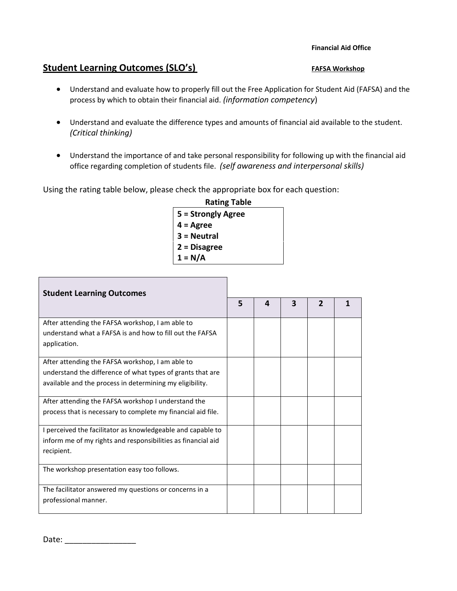## **Student Learning Outcomes (SLO's)** FAFSA Workshop

- Understand and evaluate how to properly fill out the Free Application for Student Aid (FAFSA) and the process by which to obtain their financial aid. *(information competency*)
- Understand and evaluate the difference types and amounts of financial aid available to the student. *(Critical thinking)*
- Understand the importance of and take personal responsibility for following up with the financial aid office regarding completion of students file. *(self awareness and interpersonal skills)*

Using the rating table below, please check the appropriate box for each question:

| <b>Rating Table</b> |
|---------------------|
| 5 = Strongly Agree  |
| 4 = Agree           |
| 3 = Neutral         |
| 2 = Disagree        |
| $1 = N/A$           |

| <b>Student Learning Outcomes</b>                             |  |   |   |                |  |  |  |
|--------------------------------------------------------------|--|---|---|----------------|--|--|--|
|                                                              |  | 4 | 3 | $\overline{2}$ |  |  |  |
| After attending the FAFSA workshop, I am able to             |  |   |   |                |  |  |  |
| understand what a FAFSA is and how to fill out the FAFSA     |  |   |   |                |  |  |  |
| application.                                                 |  |   |   |                |  |  |  |
| After attending the FAFSA workshop, I am able to             |  |   |   |                |  |  |  |
| understand the difference of what types of grants that are   |  |   |   |                |  |  |  |
| available and the process in determining my eligibility.     |  |   |   |                |  |  |  |
| After attending the FAFSA workshop I understand the          |  |   |   |                |  |  |  |
| process that is necessary to complete my financial aid file. |  |   |   |                |  |  |  |
| I perceived the facilitator as knowledgeable and capable to  |  |   |   |                |  |  |  |
| inform me of my rights and responsibilities as financial aid |  |   |   |                |  |  |  |
| recipient.                                                   |  |   |   |                |  |  |  |
| The workshop presentation easy too follows.                  |  |   |   |                |  |  |  |
| The facilitator answered my questions or concerns in a       |  |   |   |                |  |  |  |
| professional manner.                                         |  |   |   |                |  |  |  |

Date: \_\_\_\_\_\_\_\_\_\_\_\_\_\_\_\_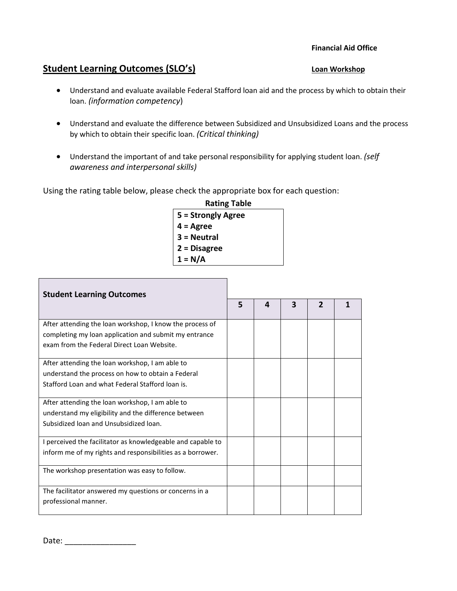# **Student Learning Outcomes (SLO's)** Loan Workshop

- Understand and evaluate available Federal Stafford loan aid and the process by which to obtain their loan. *(information competency*)
- Understand and evaluate the difference between Subsidized and Unsubsidized Loans and the process by which to obtain their specific loan. *(Critical thinking)*
- Understand the important of and take personal responsibility for applying student loan. *(self awareness and interpersonal skills)*

Using the rating table below, please check the appropriate box for each question:

| <b>Rating Table</b> |
|---------------------|
| 5 = Strongly Agree  |
| $4 = \text{Agree}$  |
| 3 = Neutral         |
| 2 = Disagree        |
| $1 = N/A$           |

| <b>Student Learning Outcomes</b>                            |   |   |   |                |  |  |
|-------------------------------------------------------------|---|---|---|----------------|--|--|
|                                                             | 5 | 4 | 3 | $\overline{2}$ |  |  |
| After attending the loan workshop, I know the process of    |   |   |   |                |  |  |
| completing my loan application and submit my entrance       |   |   |   |                |  |  |
| exam from the Federal Direct Loan Website.                  |   |   |   |                |  |  |
| After attending the loan workshop, I am able to             |   |   |   |                |  |  |
| understand the process on how to obtain a Federal           |   |   |   |                |  |  |
| Stafford Loan and what Federal Stafford loan is.            |   |   |   |                |  |  |
|                                                             |   |   |   |                |  |  |
| After attending the loan workshop, I am able to             |   |   |   |                |  |  |
| understand my eligibility and the difference between        |   |   |   |                |  |  |
| Subsidized loan and Unsubsidized loan.                      |   |   |   |                |  |  |
|                                                             |   |   |   |                |  |  |
| I perceived the facilitator as knowledgeable and capable to |   |   |   |                |  |  |
| inform me of my rights and responsibilities as a borrower.  |   |   |   |                |  |  |
| The workshop presentation was easy to follow.               |   |   |   |                |  |  |
| The facilitator answered my questions or concerns in a      |   |   |   |                |  |  |
| professional manner.                                        |   |   |   |                |  |  |
|                                                             |   |   |   |                |  |  |